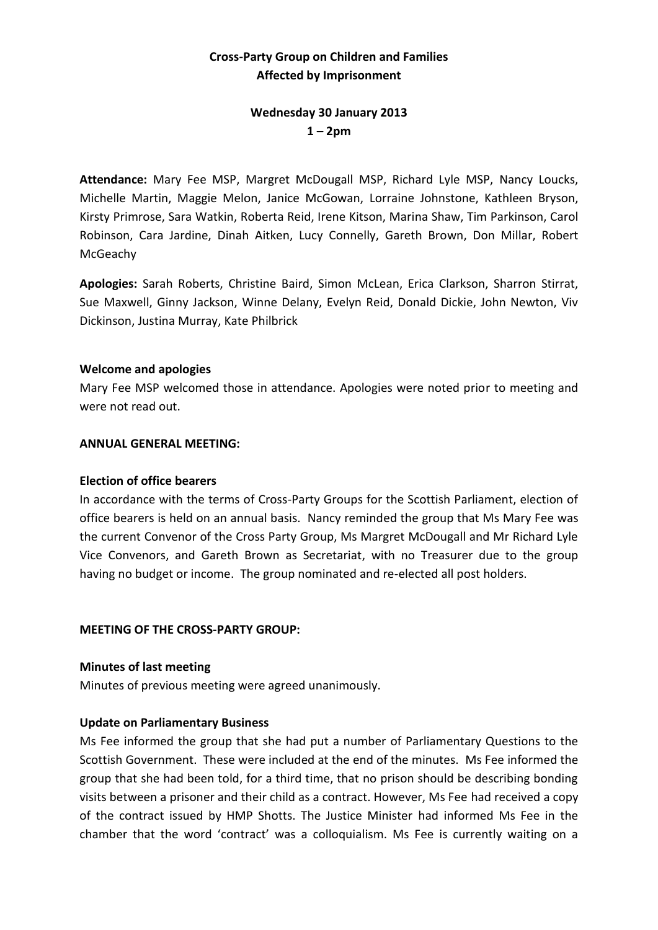## **Cross-Party Group on Children and Families Affected by Imprisonment**

# **Wednesday 30 January 2013 1 – 2pm**

**Attendance:** Mary Fee MSP, Margret McDougall MSP, Richard Lyle MSP, Nancy Loucks, Michelle Martin, Maggie Melon, Janice McGowan, Lorraine Johnstone, Kathleen Bryson, Kirsty Primrose, Sara Watkin, Roberta Reid, Irene Kitson, Marina Shaw, Tim Parkinson, Carol Robinson, Cara Jardine, Dinah Aitken, Lucy Connelly, Gareth Brown, Don Millar, Robert McGeachy

**Apologies:** Sarah Roberts, Christine Baird, Simon McLean, Erica Clarkson, Sharron Stirrat, Sue Maxwell, Ginny Jackson, Winne Delany, Evelyn Reid, Donald Dickie, John Newton, Viv Dickinson, Justina Murray, Kate Philbrick

## **Welcome and apologies**

Mary Fee MSP welcomed those in attendance. Apologies were noted prior to meeting and were not read out.

## **ANNUAL GENERAL MEETING:**

#### **Election of office bearers**

In accordance with the terms of Cross-Party Groups for the Scottish Parliament, election of office bearers is held on an annual basis. Nancy reminded the group that Ms Mary Fee was the current Convenor of the Cross Party Group, Ms Margret McDougall and Mr Richard Lyle Vice Convenors, and Gareth Brown as Secretariat, with no Treasurer due to the group having no budget or income. The group nominated and re-elected all post holders.

#### **MEETING OF THE CROSS-PARTY GROUP:**

#### **Minutes of last meeting**

Minutes of previous meeting were agreed unanimously.

## **Update on Parliamentary Business**

Ms Fee informed the group that she had put a number of Parliamentary Questions to the Scottish Government. These were included at the end of the minutes. Ms Fee informed the group that she had been told, for a third time, that no prison should be describing bonding visits between a prisoner and their child as a contract. However, Ms Fee had received a copy of the contract issued by HMP Shotts. The Justice Minister had informed Ms Fee in the chamber that the word 'contract' was a colloquialism. Ms Fee is currently waiting on a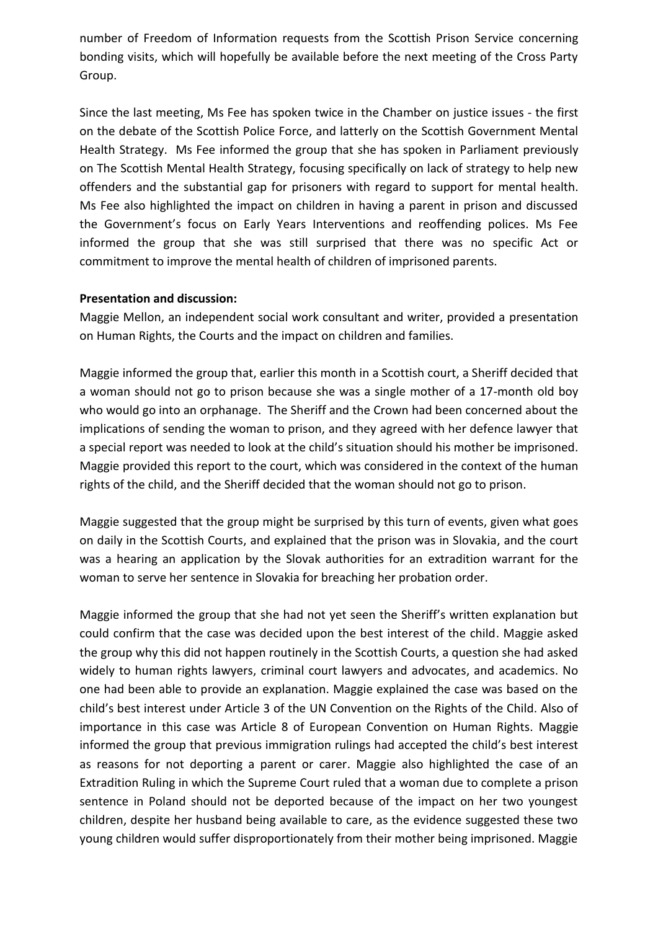number of Freedom of Information requests from the Scottish Prison Service concerning bonding visits, which will hopefully be available before the next meeting of the Cross Party Group.

Since the last meeting, Ms Fee has spoken twice in the Chamber on justice issues - the first on the debate of the Scottish Police Force, and latterly on the Scottish Government Mental Health Strategy. Ms Fee informed the group that she has spoken in Parliament previously on The Scottish Mental Health Strategy, focusing specifically on lack of strategy to help new offenders and the substantial gap for prisoners with regard to support for mental health. Ms Fee also highlighted the impact on children in having a parent in prison and discussed the Government's focus on Early Years Interventions and reoffending polices. Ms Fee informed the group that she was still surprised that there was no specific Act or commitment to improve the mental health of children of imprisoned parents.

## **Presentation and discussion:**

Maggie Mellon, an independent social work consultant and writer, provided a presentation on Human Rights, the Courts and the impact on children and families.

Maggie informed the group that, earlier this month in a Scottish court, a Sheriff decided that a woman should not go to prison because she was a single mother of a 17-month old boy who would go into an orphanage. The Sheriff and the Crown had been concerned about the implications of sending the woman to prison, and they agreed with her defence lawyer that a special report was needed to look at the child's situation should his mother be imprisoned. Maggie provided this report to the court, which was considered in the context of the human rights of the child, and the Sheriff decided that the woman should not go to prison.

Maggie suggested that the group might be surprised by this turn of events, given what goes on daily in the Scottish Courts, and explained that the prison was in Slovakia, and the court was a hearing an application by the Slovak authorities for an extradition warrant for the woman to serve her sentence in Slovakia for breaching her probation order.

Maggie informed the group that she had not yet seen the Sheriff's written explanation but could confirm that the case was decided upon the best interest of the child. Maggie asked the group why this did not happen routinely in the Scottish Courts, a question she had asked widely to human rights lawyers, criminal court lawyers and advocates, and academics. No one had been able to provide an explanation. Maggie explained the case was based on the child's best interest under Article 3 of the UN Convention on the Rights of the Child. Also of importance in this case was Article 8 of European Convention on Human Rights. Maggie informed the group that previous immigration rulings had accepted the child's best interest as reasons for not deporting a parent or carer. Maggie also highlighted the case of an Extradition Ruling in which the Supreme Court ruled that a woman due to complete a prison sentence in Poland should not be deported because of the impact on her two youngest children, despite her husband being available to care, as the evidence suggested these two young children would suffer disproportionately from their mother being imprisoned. Maggie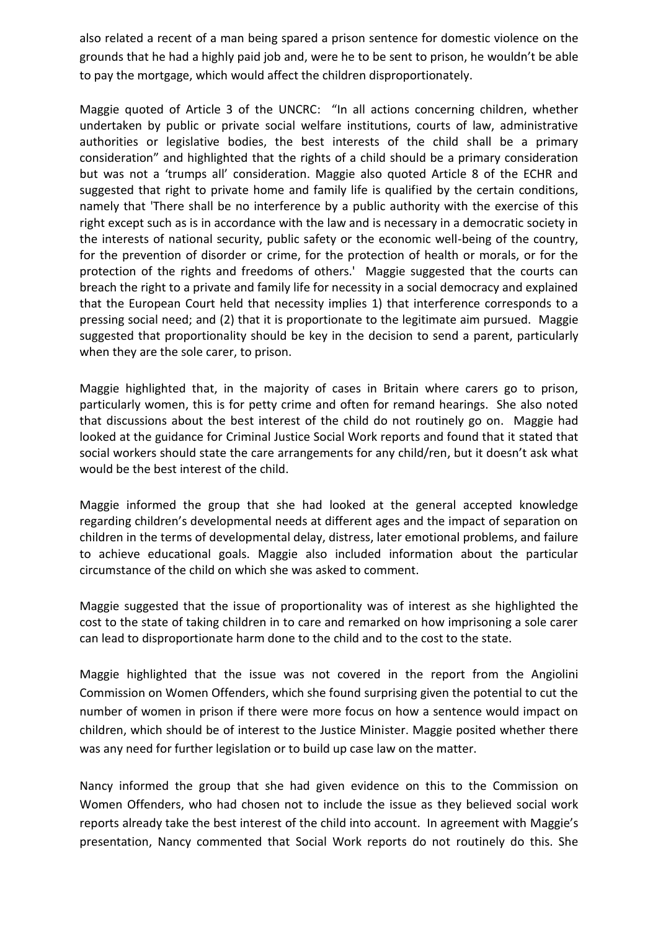also related a recent of a man being spared a prison sentence for domestic violence on the grounds that he had a highly paid job and, were he to be sent to prison, he wouldn't be able to pay the mortgage, which would affect the children disproportionately.

Maggie quoted of Article 3 of the UNCRC: "In all actions concerning children, whether undertaken by public or private social welfare institutions, courts of law, administrative authorities or legislative bodies, the best interests of the child shall be a primary consideration" and highlighted that the rights of a child should be a primary consideration but was not a 'trumps all' consideration. Maggie also quoted Article 8 of the ECHR and suggested that right to private home and family life is qualified by the certain conditions, namely that 'There shall be no interference by a public authority with the exercise of this right except such as is in accordance with the law and is necessary in a democratic society in the interests of national security, public safety or the economic well-being of the country, for the prevention of disorder or crime, for the protection of health or morals, or for the protection of the rights and freedoms of others.' Maggie suggested that the courts can breach the right to a private and family life for necessity in a social democracy and explained that the European Court held that necessity implies 1) that interference corresponds to a pressing social need; and (2) that it is proportionate to the legitimate aim pursued. Maggie suggested that proportionality should be key in the decision to send a parent, particularly when they are the sole carer, to prison.

Maggie highlighted that, in the majority of cases in Britain where carers go to prison, particularly women, this is for petty crime and often for remand hearings. She also noted that discussions about the best interest of the child do not routinely go on. Maggie had looked at the guidance for Criminal Justice Social Work reports and found that it stated that social workers should state the care arrangements for any child/ren, but it doesn't ask what would be the best interest of the child.

Maggie informed the group that she had looked at the general accepted knowledge regarding children's developmental needs at different ages and the impact of separation on children in the terms of developmental delay, distress, later emotional problems, and failure to achieve educational goals. Maggie also included information about the particular circumstance of the child on which she was asked to comment.

Maggie suggested that the issue of proportionality was of interest as she highlighted the cost to the state of taking children in to care and remarked on how imprisoning a sole carer can lead to disproportionate harm done to the child and to the cost to the state.

Maggie highlighted that the issue was not covered in the report from the Angiolini Commission on Women Offenders, which she found surprising given the potential to cut the number of women in prison if there were more focus on how a sentence would impact on children, which should be of interest to the Justice Minister. Maggie posited whether there was any need for further legislation or to build up case law on the matter.

Nancy informed the group that she had given evidence on this to the Commission on Women Offenders, who had chosen not to include the issue as they believed social work reports already take the best interest of the child into account. In agreement with Maggie's presentation, Nancy commented that Social Work reports do not routinely do this. She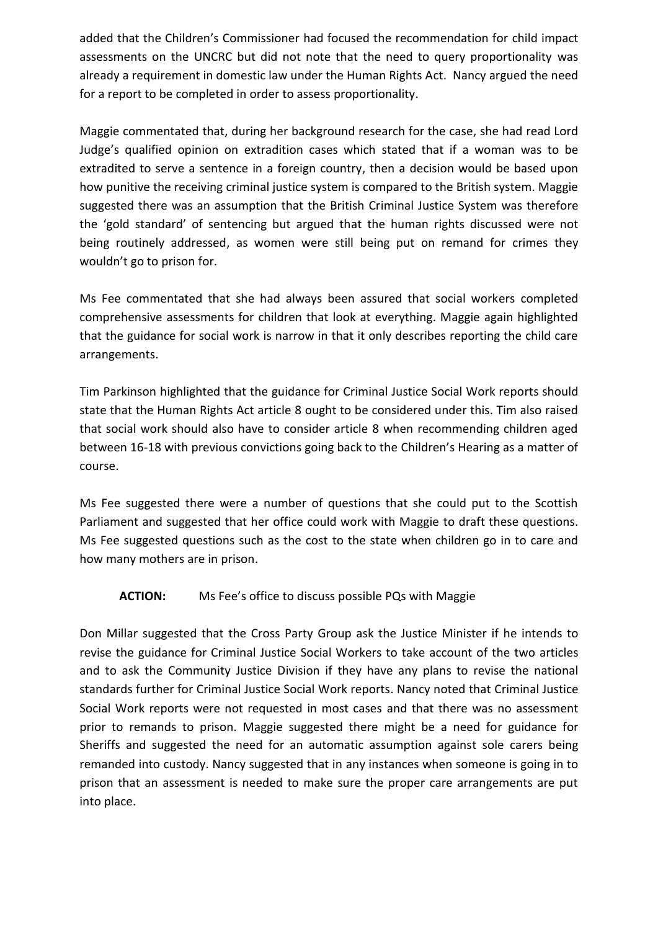added that the Children's Commissioner had focused the recommendation for child impact assessments on the UNCRC but did not note that the need to query proportionality was already a requirement in domestic law under the Human Rights Act. Nancy argued the need for a report to be completed in order to assess proportionality.

Maggie commentated that, during her background research for the case, she had read Lord Judge's qualified opinion on extradition cases which stated that if a woman was to be extradited to serve a sentence in a foreign country, then a decision would be based upon how punitive the receiving criminal justice system is compared to the British system. Maggie suggested there was an assumption that the British Criminal Justice System was therefore the 'gold standard' of sentencing but argued that the human rights discussed were not being routinely addressed, as women were still being put on remand for crimes they wouldn't go to prison for.

Ms Fee commentated that she had always been assured that social workers completed comprehensive assessments for children that look at everything. Maggie again highlighted that the guidance for social work is narrow in that it only describes reporting the child care arrangements.

Tim Parkinson highlighted that the guidance for Criminal Justice Social Work reports should state that the Human Rights Act article 8 ought to be considered under this. Tim also raised that social work should also have to consider article 8 when recommending children aged between 16-18 with previous convictions going back to the Children's Hearing as a matter of course.

Ms Fee suggested there were a number of questions that she could put to the Scottish Parliament and suggested that her office could work with Maggie to draft these questions. Ms Fee suggested questions such as the cost to the state when children go in to care and how many mothers are in prison.

## **ACTION:** Ms Fee's office to discuss possible PQs with Maggie

Don Millar suggested that the Cross Party Group ask the Justice Minister if he intends to revise the guidance for Criminal Justice Social Workers to take account of the two articles and to ask the Community Justice Division if they have any plans to revise the national standards further for Criminal Justice Social Work reports. Nancy noted that Criminal Justice Social Work reports were not requested in most cases and that there was no assessment prior to remands to prison. Maggie suggested there might be a need for guidance for Sheriffs and suggested the need for an automatic assumption against sole carers being remanded into custody. Nancy suggested that in any instances when someone is going in to prison that an assessment is needed to make sure the proper care arrangements are put into place.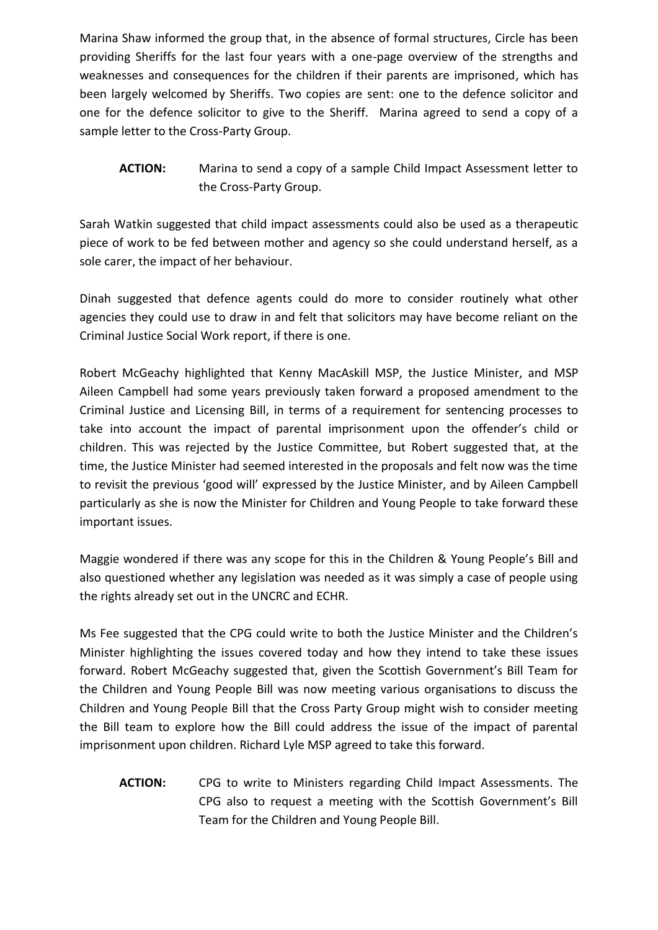Marina Shaw informed the group that, in the absence of formal structures, Circle has been providing Sheriffs for the last four years with a one-page overview of the strengths and weaknesses and consequences for the children if their parents are imprisoned, which has been largely welcomed by Sheriffs. Two copies are sent: one to the defence solicitor and one for the defence solicitor to give to the Sheriff. Marina agreed to send a copy of a sample letter to the Cross-Party Group.

**ACTION:** Marina to send a copy of a sample Child Impact Assessment letter to the Cross-Party Group.

Sarah Watkin suggested that child impact assessments could also be used as a therapeutic piece of work to be fed between mother and agency so she could understand herself, as a sole carer, the impact of her behaviour.

Dinah suggested that defence agents could do more to consider routinely what other agencies they could use to draw in and felt that solicitors may have become reliant on the Criminal Justice Social Work report, if there is one.

Robert McGeachy highlighted that Kenny MacAskill MSP, the Justice Minister, and MSP Aileen Campbell had some years previously taken forward a proposed amendment to the Criminal Justice and Licensing Bill, in terms of a requirement for sentencing processes to take into account the impact of parental imprisonment upon the offender's child or children. This was rejected by the Justice Committee, but Robert suggested that, at the time, the Justice Minister had seemed interested in the proposals and felt now was the time to revisit the previous 'good will' expressed by the Justice Minister, and by Aileen Campbell particularly as she is now the Minister for Children and Young People to take forward these important issues.

Maggie wondered if there was any scope for this in the Children & Young People's Bill and also questioned whether any legislation was needed as it was simply a case of people using the rights already set out in the UNCRC and ECHR.

Ms Fee suggested that the CPG could write to both the Justice Minister and the Children's Minister highlighting the issues covered today and how they intend to take these issues forward. Robert McGeachy suggested that, given the Scottish Government's Bill Team for the Children and Young People Bill was now meeting various organisations to discuss the Children and Young People Bill that the Cross Party Group might wish to consider meeting the Bill team to explore how the Bill could address the issue of the impact of parental imprisonment upon children. Richard Lyle MSP agreed to take this forward.

**ACTION:** CPG to write to Ministers regarding Child Impact Assessments. The CPG also to request a meeting with the Scottish Government's Bill Team for the Children and Young People Bill.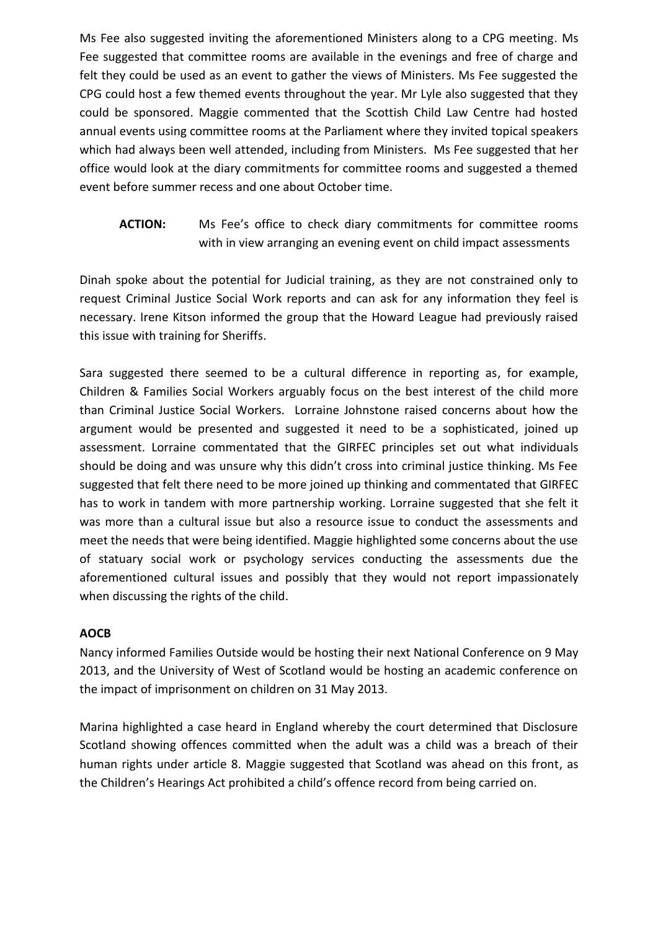Ms Fee also suggested inviting the aforementioned Ministers along to a CPG meeting. Ms Fee suggested that committee rooms are available in the evenings and free of charge and felt they could be used as an event to gather the views of Ministers. Ms Fee suggested the CPG could host a few themed events throughout the year. Mr Lyle also suggested that they could be sponsored. Maggie commented that the Scottish Child Law Centre had hosted annual events using committee rooms at the Parliament where they invited topical speakers which had always been well attended, including from Ministers. Ms Fee suggested that her office would look at the diary commitments for committee rooms and suggested a themed event before summer recess and one about October time.

**ACTION:** Ms Fee's office to check diary commitments for committee rooms with in view arranging an evening event on child impact assessments

Dinah spoke about the potential for Judicial training, as they are not constrained only to request Criminal Justice Social Work reports and can ask for any information they feel is necessary. Irene Kitson informed the group that the Howard League had previously raised this issue with training for Sheriffs.

Sara suggested there seemed to be a cultural difference in reporting as, for example, Children & Families Social Workers arguably focus on the best interest of the child more than Criminal Justice Social Workers. Lorraine Johnstone raised concerns about how the argument would be presented and suggested it need to be a sophisticated, joined up assessment. Lorraine commentated that the GIRFEC principles set out what individuals should be doing and was unsure why this didn't cross into criminal justice thinking. Ms Fee suggested that felt there need to be more joined up thinking and commentated that GIRFEC has to work in tandem with more partnership working. Lorraine suggested that she felt it was more than a cultural issue but also a resource issue to conduct the assessments and meet the needs that were being identified. Maggie highlighted some concerns about the use of statuary social work or psychology services conducting the assessments due the aforementioned cultural issues and possibly that they would not report impassionately when discussing the rights of the child.

#### **AOCB**

Nancy informed Families Outside would be hosting their next National Conference on 9 May 2013, and the University of West of Scotland would be hosting an academic conference on the impact of imprisonment on children on 31 May 2013.

Marina highlighted a case heard in England whereby the court determined that Disclosure Scotland showing offences committed when the adult was a child was a breach of their human rights under article 8. Maggie suggested that Scotland was ahead on this front, as the Children's Hearings Act prohibited a child's offence record from being carried on.